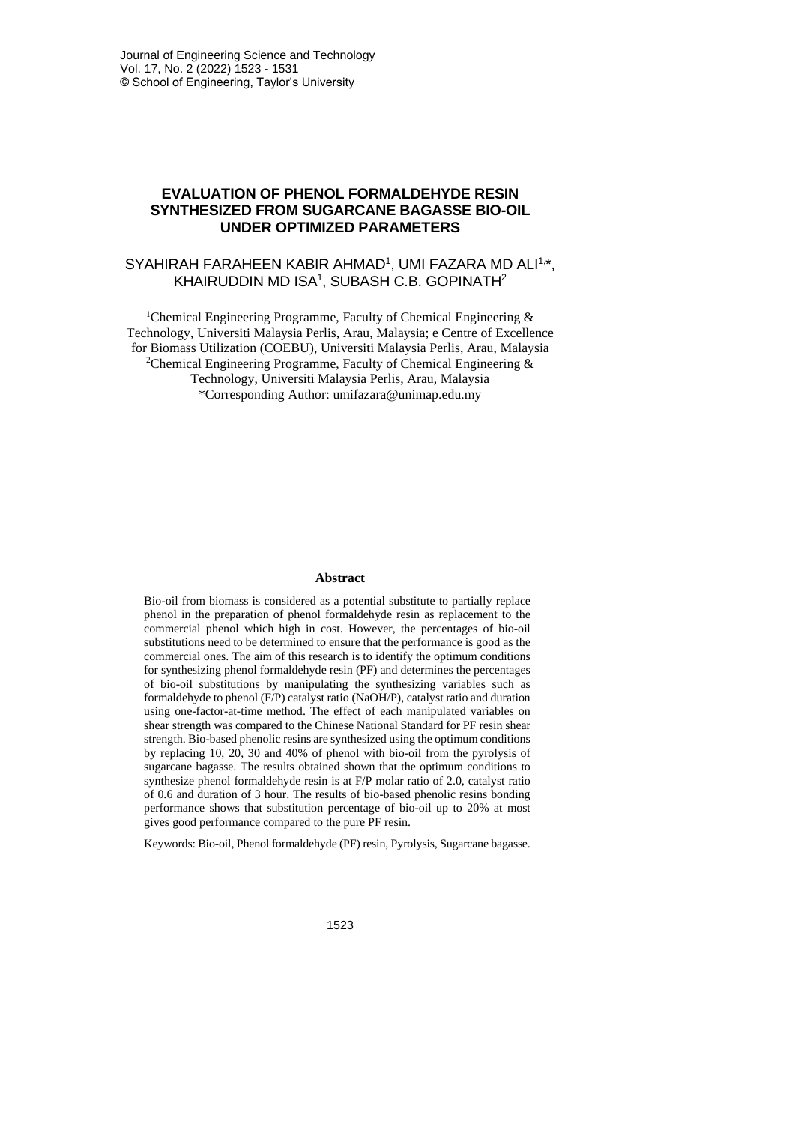# **EVALUATION OF PHENOL FORMALDEHYDE RESIN SYNTHESIZED FROM SUGARCANE BAGASSE BIO-OIL UNDER OPTIMIZED PARAMETERS**

# SYAHIRAH FARAHEEN KABIR AHMAD<sup>1</sup>, UMI FAZARA MD ALI<sup>1,\*</sup>, KHAIRUDDIN MD ISA $^1$ , SUBASH C.B. GOPINATH $^2$

<sup>1</sup>Chemical Engineering Programme, Faculty of Chemical Engineering  $\&$ Technology, Universiti Malaysia Perlis, Arau, Malaysia; e Centre of Excellence for Biomass Utilization (COEBU), Universiti Malaysia Perlis, Arau, Malaysia <sup>2</sup>Chemical Engineering Programme, Faculty of Chemical Engineering  $\&$ Technology, Universiti Malaysia Perlis, Arau, Malaysia \*Corresponding Author: umifazara@unimap.edu.my

### **Abstract**

Bio-oil from biomass is considered as a potential substitute to partially replace phenol in the preparation of phenol formaldehyde resin as replacement to the commercial phenol which high in cost. However, the percentages of bio-oil substitutions need to be determined to ensure that the performance is good as the commercial ones. The aim of this research is to identify the optimum conditions for synthesizing phenol formaldehyde resin (PF) and determines the percentages of bio-oil substitutions by manipulating the synthesizing variables such as formaldehyde to phenol (F/P) catalyst ratio (NaOH/P), catalyst ratio and duration using one-factor-at-time method. The effect of each manipulated variables on shear strength was compared to the Chinese National Standard for PF resin shear strength. Bio-based phenolic resins are synthesized using the optimum conditions by replacing 10, 20, 30 and 40% of phenol with bio-oil from the pyrolysis of sugarcane bagasse. The results obtained shown that the optimum conditions to synthesize phenol formaldehyde resin is at F/P molar ratio of 2.0, catalyst ratio of 0.6 and duration of 3 hour. The results of bio-based phenolic resins bonding performance shows that substitution percentage of bio-oil up to 20% at most gives good performance compared to the pure PF resin.

Keywords: Bio-oil, Phenol formaldehyde (PF) resin, Pyrolysis, Sugarcane bagasse.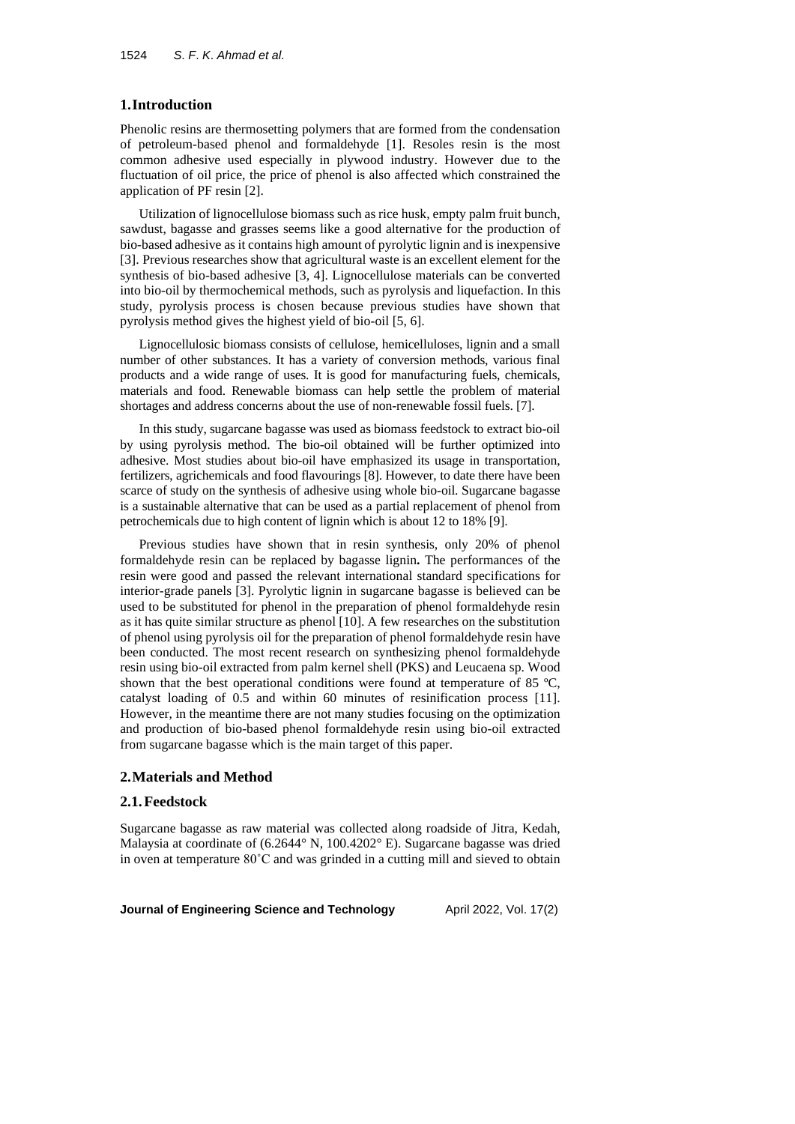# **1.Introduction**

Phenolic resins are thermosetting polymers that are formed from the condensation of petroleum-based phenol and formaldehyde [1]. Resoles resin is the most common adhesive used especially in plywood industry. However due to the fluctuation of oil price, the price of phenol is also affected which constrained the application of PF resin [2].

Utilization of lignocellulose biomass such as rice husk, empty palm fruit bunch, sawdust, bagasse and grasses seems like a good alternative for the production of bio-based adhesive as it contains high amount of pyrolytic lignin and is inexpensive [3]. Previous researches show that agricultural waste is an excellent element for the synthesis of bio-based adhesive [3, 4]. Lignocellulose materials can be converted into bio-oil by thermochemical methods, such as pyrolysis and liquefaction. In this study, pyrolysis process is chosen because previous studies have shown that pyrolysis method gives the highest yield of bio-oil [5, 6].

Lignocellulosic biomass consists of cellulose, hemicelluloses, lignin and a small number of other substances. It has a variety of conversion methods, various final products and a wide range of uses. It is good for manufacturing fuels, chemicals, materials and food. Renewable biomass can help settle the problem of material shortages and address concerns about the use of non-renewable fossil fuels. [7].

In this study, sugarcane bagasse was used as biomass feedstock to extract bio-oil by using pyrolysis method. The bio-oil obtained will be further optimized into adhesive. Most studies about bio-oil have emphasized its usage in transportation, fertilizers, agrichemicals and food flavourings [8]. However, to date there have been scarce of study on the synthesis of adhesive using whole bio-oil. Sugarcane bagasse is a sustainable alternative that can be used as a partial replacement of phenol from petrochemicals due to high content of lignin which is about 12 to 18% [9].

Previous studies have shown that in resin synthesis, only 20% of phenol formaldehyde resin can be replaced by bagasse lignin**.** The performances of the resin were good and passed the relevant international standard specifications for interior-grade panels [3]. Pyrolytic lignin in sugarcane bagasse is believed can be used to be substituted for phenol in the preparation of phenol formaldehyde resin as it has quite similar structure as phenol [10]. A few researches on the substitution of phenol using pyrolysis oil for the preparation of phenol formaldehyde resin have been conducted. The most recent research on synthesizing phenol formaldehyde resin using bio-oil extracted from palm kernel shell (PKS) and Leucaena sp. Wood shown that the best operational conditions were found at temperature of 85 ºC, catalyst loading of 0.5 and within 60 minutes of resinification process [11]. However, in the meantime there are not many studies focusing on the optimization and production of bio-based phenol formaldehyde resin using bio-oil extracted from sugarcane bagasse which is the main target of this paper.

# **2.Materials and Method**

### **2.1.Feedstock**

Sugarcane bagasse as raw material was collected along roadside of Jitra, Kedah, Malaysia at coordinate of (6.2644° N, 100.4202° E). Sugarcane bagasse was dried in oven at temperature 80˚C and was grinded in a cutting mill and sieved to obtain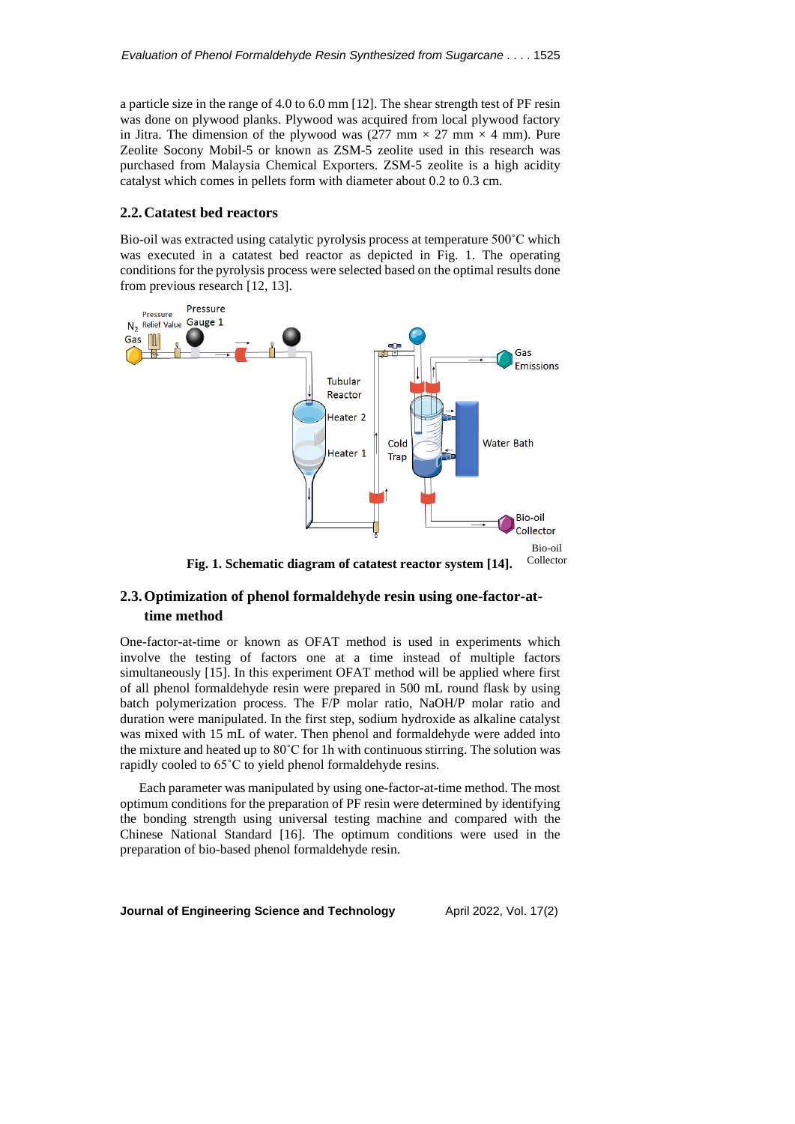a particle size in the range of 4.0 to 6.0 mm [12]. The shear strength test of PF resin was done on plywood planks. Plywood was acquired from local plywood factory in Jitra. The dimension of the plywood was  $(277 \text{ mm} \times 27 \text{ mm} \times 4 \text{ mm})$ . Pure Zeolite Socony Mobil-5 or known as ZSM-5 zeolite used in this research was purchased from Malaysia Chemical Exporters. ZSM-5 zeolite is a high acidity catalyst which comes in pellets form with diameter about 0.2 to 0.3 cm.

## **2.2.Catatest bed reactors**

Bio-oil was extracted using catalytic pyrolysis process at temperature 500˚C which was executed in a catatest bed reactor as depicted in Fig. 1. The operating conditions for the pyrolysis process were selected based on the optimal results done from previous research [12, 13].



# **2.3.Optimization of phenol formaldehyde resin using one-factor-attime method**

One-factor-at-time or known as OFAT method is used in experiments which involve the testing of factors one at a time instead of multiple factors simultaneously [15]. In this experiment OFAT method will be applied where first of all phenol formaldehyde resin were prepared in 500 mL round flask by using batch polymerization process. The F/P molar ratio, NaOH/P molar ratio and duration were manipulated. In the first step, sodium hydroxide as alkaline catalyst was mixed with 15 mL of water. Then phenol and formaldehyde were added into the mixture and heated up to 80˚C for 1h with continuous stirring. The solution was rapidly cooled to 65˚C to yield phenol formaldehyde resins.

Each parameter was manipulated by using one-factor-at-time method. The most optimum conditions for the preparation of PF resin were determined by identifying the bonding strength using universal testing machine and compared with the Chinese National Standard [16]. The optimum conditions were used in the preparation of bio-based phenol formaldehyde resin.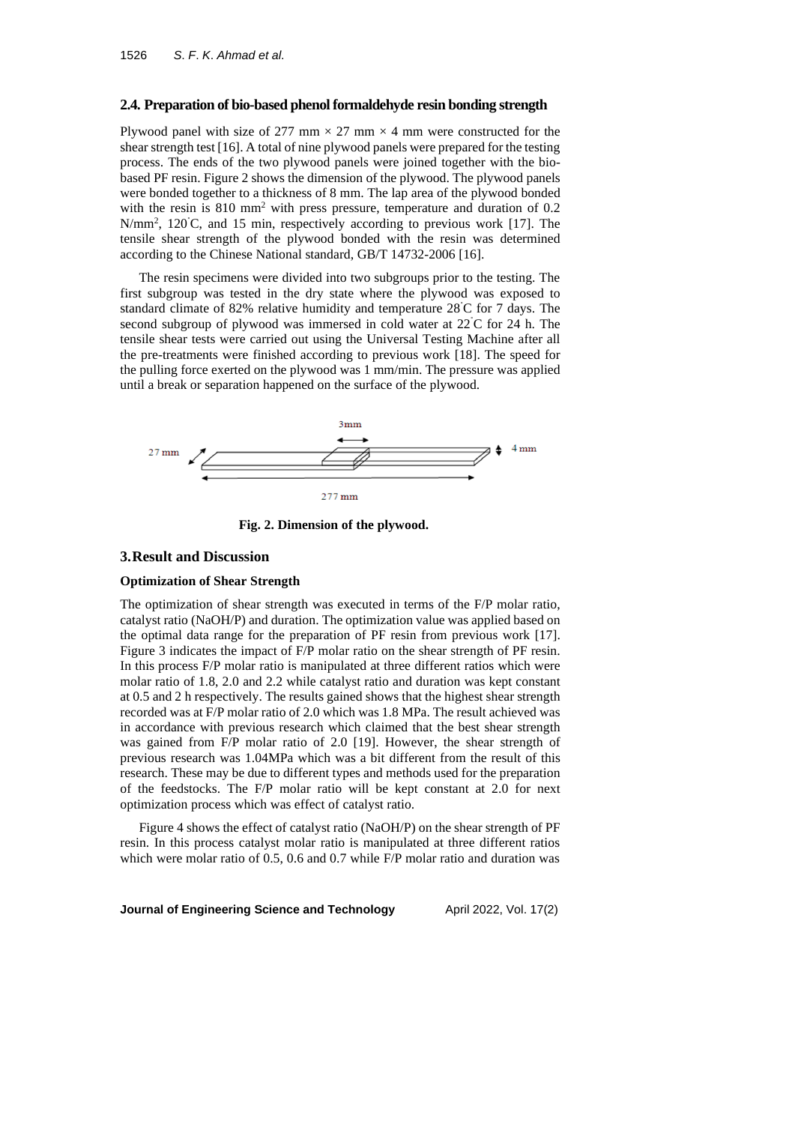### **2.4. Preparation of bio-based phenol formaldehyde resin bonding strength**

Plywood panel with size of 277 mm  $\times$  27 mm  $\times$  4 mm were constructed for the shear strength test [16]. A total of nine plywood panels were prepared for the testing process. The ends of the two plywood panels were joined together with the biobased PF resin. Figure 2 shows the dimension of the plywood. The plywood panels were bonded together to a thickness of 8 mm. The lap area of the plywood bonded with the resin is 810 mm<sup>2</sup> with press pressure, temperature and duration of 0.2 N/mm<sup>2</sup>, 120°C, and 15 min, respectively according to previous work [17]. The tensile shear strength of the plywood bonded with the resin was determined according to the Chinese National standard, GB/T 14732-2006 [16].

The resin specimens were divided into two subgroups prior to the testing. The first subgroup was tested in the dry state where the plywood was exposed to standard climate of 82% relative humidity and temperature 28˚C for 7 days. The second subgroup of plywood was immersed in cold water at 22˚C for 24 h. The tensile shear tests were carried out using the Universal Testing Machine after all the pre-treatments were finished according to previous work [18]. The speed for the pulling force exerted on the plywood was 1 mm/min. The pressure was applied until a break or separation happened on the surface of the plywood.



**Fig. 2. Dimension of the plywood.**

### **3.Result and Discussion**

### **Optimization of Shear Strength**

The optimization of shear strength was executed in terms of the F/P molar ratio, catalyst ratio (NaOH/P) and duration. The optimization value was applied based on the optimal data range for the preparation of PF resin from previous work [17]. Figure 3 indicates the impact of F/P molar ratio on the shear strength of PF resin. In this process F/P molar ratio is manipulated at three different ratios which were molar ratio of 1.8, 2.0 and 2.2 while catalyst ratio and duration was kept constant at 0.5 and 2 h respectively. The results gained shows that the highest shear strength recorded was at F/P molar ratio of 2.0 which was 1.8 MPa. The result achieved was in accordance with previous research which claimed that the best shear strength was gained from F/P molar ratio of 2.0 [19]. However, the shear strength of previous research was 1.04MPa which was a bit different from the result of this research. These may be due to different types and methods used for the preparation of the feedstocks. The F/P molar ratio will be kept constant at 2.0 for next optimization process which was effect of catalyst ratio.

Figure 4 shows the effect of catalyst ratio (NaOH/P) on the shear strength of PF resin. In this process catalyst molar ratio is manipulated at three different ratios which were molar ratio of 0.5, 0.6 and 0.7 while F/P molar ratio and duration was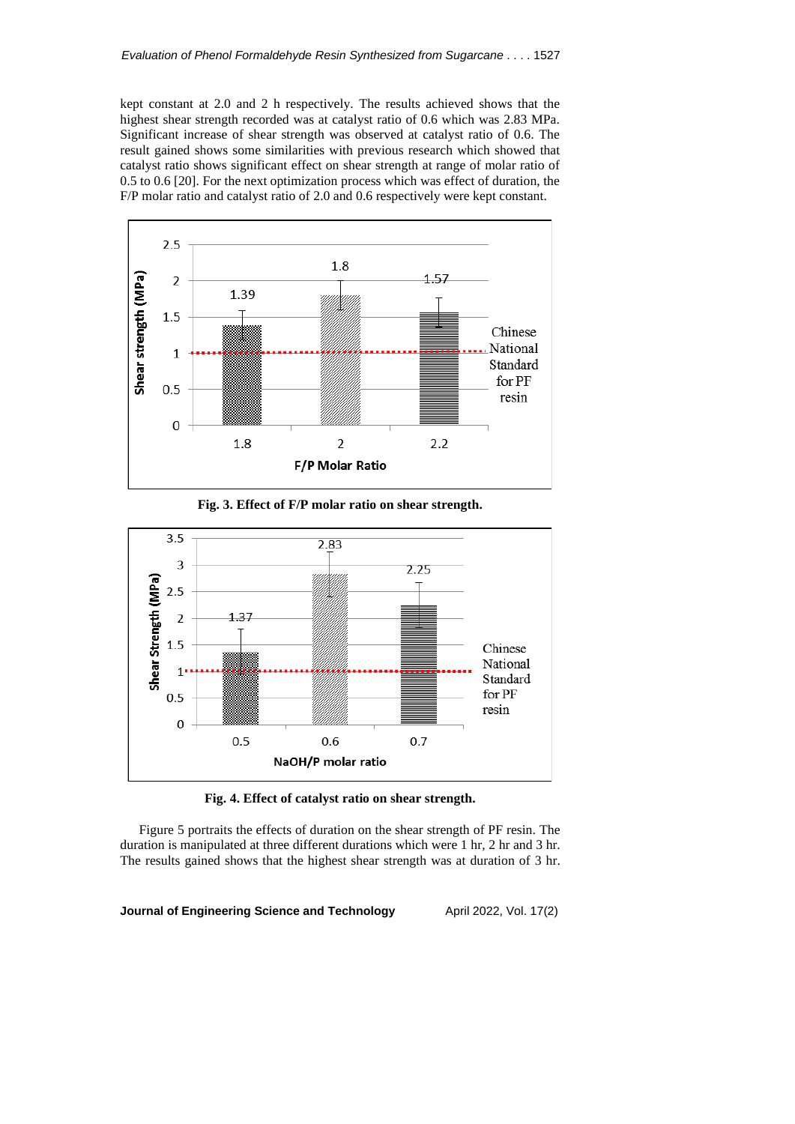kept constant at 2.0 and 2 h respectively. The results achieved shows that the highest shear strength recorded was at catalyst ratio of 0.6 which was 2.83 MPa. Significant increase of shear strength was observed at catalyst ratio of 0.6. The result gained shows some similarities with previous research which showed that catalyst ratio shows significant effect on shear strength at range of molar ratio of 0.5 to 0.6 [20]. For the next optimization process which was effect of duration, the F/P molar ratio and catalyst ratio of 2.0 and 0.6 respectively were kept constant.



**Fig. 3. Effect of F/P molar ratio on shear strength.**



**Fig. 4. Effect of catalyst ratio on shear strength.**

Figure 5 portraits the effects of duration on the shear strength of PF resin. The duration is manipulated at three different durations which were 1 hr, 2 hr and 3 hr. The results gained shows that the highest shear strength was at duration of 3 hr.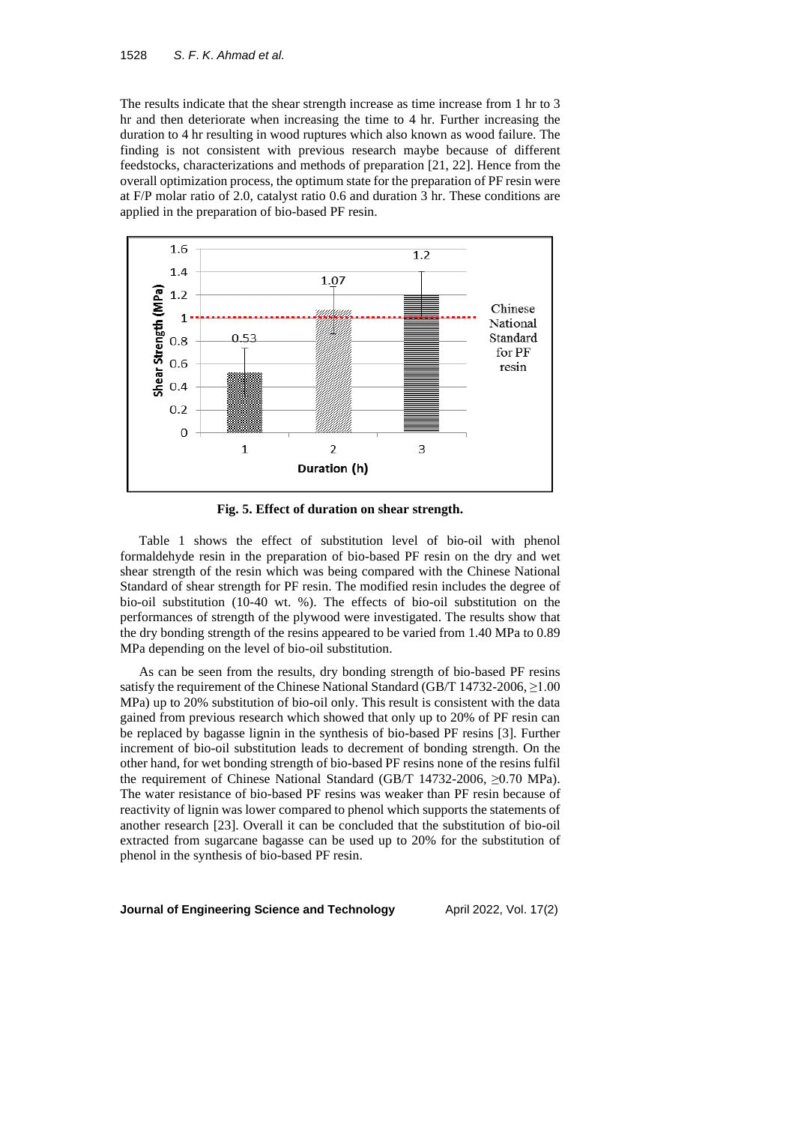The results indicate that the shear strength increase as time increase from 1 hr to 3 hr and then deteriorate when increasing the time to 4 hr. Further increasing the duration to 4 hr resulting in wood ruptures which also known as wood failure. The finding is not consistent with previous research maybe because of different feedstocks, characterizations and methods of preparation [21, 22]. Hence from the overall optimization process, the optimum state for the preparation of PF resin were at F/P molar ratio of 2.0, catalyst ratio 0.6 and duration 3 hr. These conditions are applied in the preparation of bio-based PF resin.



**Fig. 5. Effect of duration on shear strength.**

Table 1 shows the effect of substitution level of bio-oil with phenol formaldehyde resin in the preparation of bio-based PF resin on the dry and wet shear strength of the resin which was being compared with the Chinese National Standard of shear strength for PF resin. The modified resin includes the degree of bio-oil substitution (10-40 wt. %). The effects of bio-oil substitution on the performances of strength of the plywood were investigated. The results show that the dry bonding strength of the resins appeared to be varied from 1.40 MPa to 0.89 MPa depending on the level of bio-oil substitution.

As can be seen from the results, dry bonding strength of bio-based PF resins satisfy the requirement of the Chinese National Standard (GB/T 14732-2006, ≥1.00 MPa) up to 20% substitution of bio-oil only. This result is consistent with the data gained from previous research which showed that only up to 20% of PF resin can be replaced by bagasse lignin in the synthesis of bio-based PF resins [3]. Further increment of bio-oil substitution leads to decrement of bonding strength. On the other hand, for wet bonding strength of bio-based PF resins none of the resins fulfil the requirement of Chinese National Standard (GB/T 14732-2006, ≥0.70 MPa). The water resistance of bio-based PF resins was weaker than PF resin because of reactivity of lignin was lower compared to phenol which supports the statements of another research [23]. Overall it can be concluded that the substitution of bio-oil extracted from sugarcane bagasse can be used up to 20% for the substitution of phenol in the synthesis of bio-based PF resin.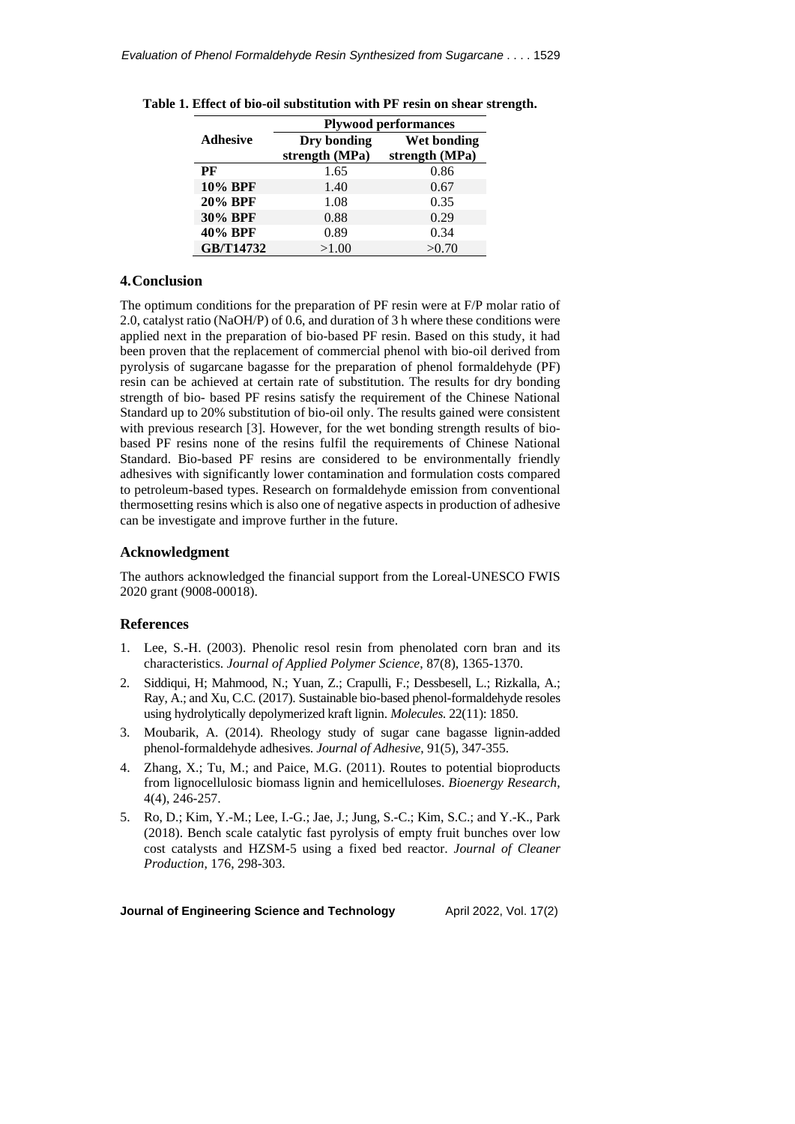|                 | <b>Plywood performances</b> |                |  |  |  |  |
|-----------------|-----------------------------|----------------|--|--|--|--|
| <b>Adhesive</b> | Dry bonding                 | Wet bonding    |  |  |  |  |
|                 | strength (MPa)              | strength (MPa) |  |  |  |  |
| PF              | 1.65                        | 0.86           |  |  |  |  |
| <b>10% BPF</b>  | 1.40                        | 0.67           |  |  |  |  |
| <b>20% BPF</b>  | 1.08                        | 0.35           |  |  |  |  |
| 30% BPF         | 0.88                        | 0.29           |  |  |  |  |
| 40% BPF         | 0.89                        | 0.34           |  |  |  |  |
| GB/T14732       | >1.00                       | >0.70          |  |  |  |  |

|  |  |  | Table 1. Effect of bio-oil substitution with PF resin on shear strength. |  |  |  |  |
|--|--|--|--------------------------------------------------------------------------|--|--|--|--|
|--|--|--|--------------------------------------------------------------------------|--|--|--|--|

# **4.Conclusion**

The optimum conditions for the preparation of PF resin were at F/P molar ratio of 2.0, catalyst ratio (NaOH/P) of 0.6, and duration of 3 h where these conditions were applied next in the preparation of bio-based PF resin. Based on this study, it had been proven that the replacement of commercial phenol with bio-oil derived from pyrolysis of sugarcane bagasse for the preparation of phenol formaldehyde (PF) resin can be achieved at certain rate of substitution. The results for dry bonding strength of bio- based PF resins satisfy the requirement of the Chinese National Standard up to 20% substitution of bio-oil only. The results gained were consistent with previous research [3]. However, for the wet bonding strength results of biobased PF resins none of the resins fulfil the requirements of Chinese National Standard. Bio-based PF resins are considered to be environmentally friendly adhesives with significantly lower contamination and formulation costs compared to petroleum-based types. Research on formaldehyde emission from conventional thermosetting resins which is also one of negative aspects in production of adhesive can be investigate and improve further in the future.

## **Acknowledgment**

The authors acknowledged the financial support from the Loreal-UNESCO FWIS 2020 grant (9008-00018).

## **References**

- 1. Lee, S.-H. (2003). Phenolic resol resin from phenolated corn bran and its characteristics. *Journal of Applied Polymer Science*, 87(8), 1365-1370.
- 2. Siddiqui, H; Mahmood, N.; Yuan, Z.; Crapulli, F.; Dessbesell, L.; Rizkalla, A.; Ray, A.; and Xu, C.C. (2017). Sustainable bio-based phenol-formaldehyde resoles using hydrolytically depolymerized kraft lignin. *Molecules*. 22(11): 1850.
- 3. Moubarik, A. (2014). Rheology study of sugar cane bagasse lignin-added phenol-formaldehyde adhesives. *Journal of Adhesive*, 91(5), 347-355.
- 4. Zhang, X.; Tu, M.; and Paice, M.G. (2011). Routes to potential bioproducts from lignocellulosic biomass lignin and hemicelluloses. *Bioenergy Research*, 4(4), 246-257.
- 5. Ro, D.; Kim, Y.-M.; Lee, I.-G.; Jae, J.; Jung, S.-C.; Kim, S.C.; and Y.-K., Park (2018). Bench scale catalytic fast pyrolysis of empty fruit bunches over low cost catalysts and HZSM-5 using a fixed bed reactor. *Journal of Cleaner Production*, 176, 298-303.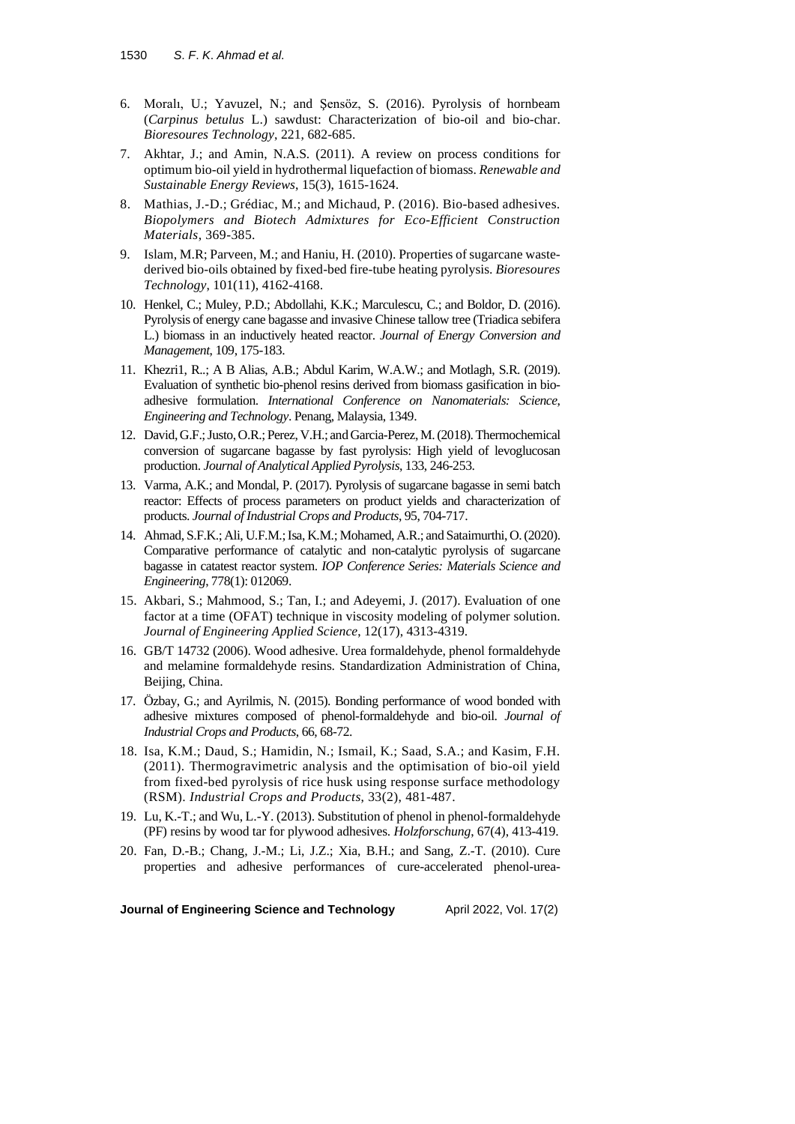- 6. Moralı, U.; Yavuzel, N.; and Şensöz, S. (2016). Pyrolysis of hornbeam (*Carpinus betulus* L.) sawdust: Characterization of bio-oil and bio-char. *Bioresoures Technology*, 221, 682-685.
- 7. Akhtar, J.; and Amin, N.A.S. (2011). A review on process conditions for optimum bio-oil yield in hydrothermal liquefaction of biomass. *Renewable and Sustainable Energy Reviews*, 15(3), 1615-1624.
- 8. Mathias, J.-D.; Grédiac, M.; and Michaud, P. (2016). Bio-based adhesives. *Biopolymers and Biotech Admixtures for Eco-Efficient Construction Materials*, 369-385.
- 9. Islam, M.R; Parveen, M.; and Haniu, H. (2010). Properties of sugarcane wastederived bio-oils obtained by fixed-bed fire-tube heating pyrolysis. *Bioresoures Technology*, 101(11), 4162-4168.
- 10. Henkel, C.; Muley, P.D.; Abdollahi, K.K.; Marculescu, C.; and Boldor, D. (2016). Pyrolysis of energy cane bagasse and invasive Chinese tallow tree (Triadica sebifera L.) biomass in an inductively heated reactor. *Journal of Energy Conversion and Management*, 109, 175-183.
- 11. Khezri1, R..; A B Alias, A.B.; Abdul Karim, W.A.W.; and Motlagh, S.R. (2019). Evaluation of synthetic bio-phenol resins derived from biomass gasification in bioadhesive formulation. *International Conference on Nanomaterials: Science*, *Engineering and Technology*. Penang, Malaysia, 1349.
- 12. David, G.F.; Justo, O.R.; Perez, V.H.; and Garcia-Perez, M. (2018). Thermochemical conversion of sugarcane bagasse by fast pyrolysis: High yield of levoglucosan production. *Journal of Analytical Applied Pyrolysis*, 133, 246-253.
- 13. Varma, A.K.; and Mondal, P. (2017). Pyrolysis of sugarcane bagasse in semi batch reactor: Effects of process parameters on product yields and characterization of products. *Journal of Industrial Crops and Products*, 95, 704-717.
- 14. Ahmad, S.F.K.; Ali, U.F.M.; Isa, K.M.; Mohamed, A.R.; and Sataimurthi, O.(2020). Comparative performance of catalytic and non-catalytic pyrolysis of sugarcane bagasse in catatest reactor system. *IOP [Conference](https://iopscience.iop.org/journal/1757-899X) Series: Materials Science and [Engineering](https://iopscience.iop.org/journal/1757-899X)*, 778(1): 012069.
- 15. Akbari, S.; Mahmood, S.; Tan, I.; and Adeyemi, J. (2017). Evaluation of one factor at a time (OFAT) technique in viscosity modeling of polymer solution. *Journal of Engineering Applied Science*, 12(17), 4313-4319.
- 16. GB/T 14732 (2006). Wood adhesive. Urea formaldehyde, phenol formaldehyde and melamine formaldehyde resins. Standardization Administration of China, Beijing, China.
- 17. Özbay, G.; and Ayrilmis, N. (2015). Bonding performance of wood bonded with adhesive mixtures composed of phenol-formaldehyde and bio-oil. *Journal of Industrial Crops and Products*, 66, 68-72.
- 18. Isa, K.M.; Daud, S.; Hamidin, N.; Ismail, K.; Saad, S.A.; and Kasim, F.H. (2011). Thermogravimetric analysis and the optimisation of bio-oil yield from fixed-bed pyrolysis of rice husk using response surface methodology (RSM). *Industrial Crops and Products*, 33(2), 481-487.
- 19. Lu, K.-T.; and Wu, L.-Y. (2013). Substitution of phenol in phenol-formaldehyde (PF) resins by wood tar for plywood adhesives. *Holzforschung*, 67(4), 413-419.
- 20. Fan, D.-B.; Chang, J.-M.; Li, J.Z.; Xia, B.H.; and Sang, Z.-T. (2010). Cure properties and adhesive performances of cure-accelerated phenol-urea-